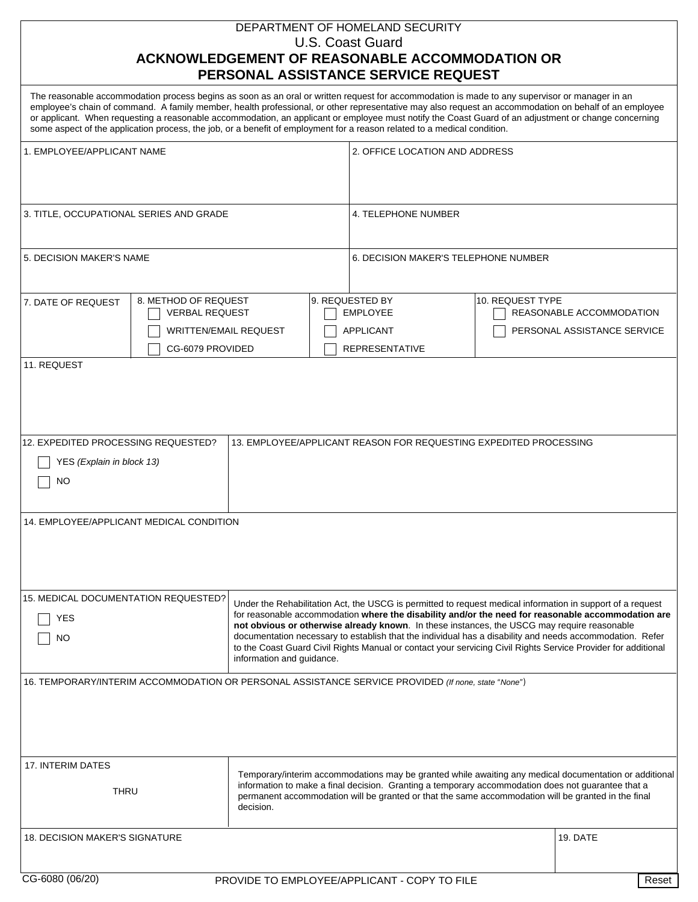## DEPARTMENT OF HOMELAND SECURITY U.S. Coast Guard **ACKNOWLEDGEMENT OF REASONABLE ACCOMMODATION OR PERSONAL ASSISTANCE SERVICE REQUEST**

|                                                                                                                                                                                                                                                                                                                                                                                                                                                                                                                                                                                                                                       |                                                                   | PERSONAL ASSISTANCE SERVICE REQUEST                                                                                                                                                                                                                                                                                 |                                      |                                                         |  |
|---------------------------------------------------------------------------------------------------------------------------------------------------------------------------------------------------------------------------------------------------------------------------------------------------------------------------------------------------------------------------------------------------------------------------------------------------------------------------------------------------------------------------------------------------------------------------------------------------------------------------------------|-------------------------------------------------------------------|---------------------------------------------------------------------------------------------------------------------------------------------------------------------------------------------------------------------------------------------------------------------------------------------------------------------|--------------------------------------|---------------------------------------------------------|--|
| The reasonable accommodation process begins as soon as an oral or written request for accommodation is made to any supervisor or manager in an<br>employee's chain of command. A family member, health professional, or other representative may also request an accommodation on behalf of an employee<br>or applicant. When requesting a reasonable accommodation, an applicant or employee must notify the Coast Guard of an adjustment or change concerning<br>some aspect of the application process, the job, or a benefit of employment for a reason related to a medical condition.                                           |                                                                   |                                                                                                                                                                                                                                                                                                                     |                                      |                                                         |  |
| 1. EMPLOYEE/APPLICANT NAME                                                                                                                                                                                                                                                                                                                                                                                                                                                                                                                                                                                                            |                                                                   |                                                                                                                                                                                                                                                                                                                     | 2. OFFICE LOCATION AND ADDRESS       |                                                         |  |
| 3. TITLE, OCCUPATIONAL SERIES AND GRADE                                                                                                                                                                                                                                                                                                                                                                                                                                                                                                                                                                                               |                                                                   | 4. TELEPHONE NUMBER                                                                                                                                                                                                                                                                                                 |                                      |                                                         |  |
| 5. DECISION MAKER'S NAME                                                                                                                                                                                                                                                                                                                                                                                                                                                                                                                                                                                                              |                                                                   |                                                                                                                                                                                                                                                                                                                     | 6. DECISION MAKER'S TELEPHONE NUMBER |                                                         |  |
| 8. METHOD OF REQUEST<br>7. DATE OF REQUEST<br><b>VERBAL REQUEST</b><br><b>WRITTEN/EMAIL REQUEST</b><br>CG-6079 PROVIDED                                                                                                                                                                                                                                                                                                                                                                                                                                                                                                               |                                                                   | 9. REQUESTED BY<br><b>EMPLOYEE</b><br><b>APPLICANT</b><br><b>REPRESENTATIVE</b>                                                                                                                                                                                                                                     | 10. REQUEST TYPE                     | REASONABLE ACCOMMODATION<br>PERSONAL ASSISTANCE SERVICE |  |
| 11. REQUEST                                                                                                                                                                                                                                                                                                                                                                                                                                                                                                                                                                                                                           |                                                                   |                                                                                                                                                                                                                                                                                                                     |                                      |                                                         |  |
| 12. EXPEDITED PROCESSING REQUESTED?<br>YES (Explain in block 13)<br><b>NO</b>                                                                                                                                                                                                                                                                                                                                                                                                                                                                                                                                                         | 13. EMPLOYEE/APPLICANT REASON FOR REQUESTING EXPEDITED PROCESSING |                                                                                                                                                                                                                                                                                                                     |                                      |                                                         |  |
| 14. EMPLOYEE/APPLICANT MEDICAL CONDITION                                                                                                                                                                                                                                                                                                                                                                                                                                                                                                                                                                                              |                                                                   |                                                                                                                                                                                                                                                                                                                     |                                      |                                                         |  |
| 15. MEDICAL DOCUMENTATION REQUESTED?<br>Under the Rehabilitation Act, the USCG is permitted to request medical information in support of a request<br>for reasonable accommodation where the disability and/or the need for reasonable accommodation are<br><b>YES</b><br>not obvious or otherwise already known. In these instances, the USCG may require reasonable<br>documentation necessary to establish that the individual has a disability and needs accommodation. Refer<br>NO<br>to the Coast Guard Civil Rights Manual or contact your servicing Civil Rights Service Provider for additional<br>information and guidance. |                                                                   |                                                                                                                                                                                                                                                                                                                     |                                      |                                                         |  |
| 16. TEMPORARY/INTERIM ACCOMMODATION OR PERSONAL ASSISTANCE SERVICE PROVIDED (If none, state "None")                                                                                                                                                                                                                                                                                                                                                                                                                                                                                                                                   |                                                                   |                                                                                                                                                                                                                                                                                                                     |                                      |                                                         |  |
| 17. INTERIM DATES<br>THRU                                                                                                                                                                                                                                                                                                                                                                                                                                                                                                                                                                                                             | decision.                                                         | Temporary/interim accommodations may be granted while awaiting any medical documentation or additional<br>information to make a final decision. Granting a temporary accommodation does not guarantee that a<br>permanent accommodation will be granted or that the same accommodation will be granted in the final |                                      |                                                         |  |
| <b>18. DECISION MAKER'S SIGNATURE</b>                                                                                                                                                                                                                                                                                                                                                                                                                                                                                                                                                                                                 |                                                                   |                                                                                                                                                                                                                                                                                                                     |                                      | <b>19. DATE</b>                                         |  |